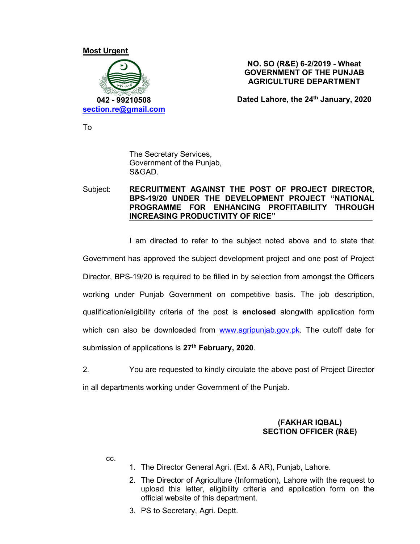#### Most Urgent



#### NO. SO (R&E) 6-2/2019 - Wheat GOVERNMENT OF THE PUNJAB AGRICULTURE DEPARTMENT

Dated Lahore, the 24<sup>th</sup> January, 2020

To

The Secretary Services, Government of the Punjab, S&GAD.

### Subject: RECRUITMENT AGAINST THE POST OF PROJECT DIRECTOR, BPS-19/20 UNDER THE DEVELOPMENT PROJECT "NATIONAL PROGRAMME FOR ENHANCING PROFITABILITY THROUGH INCREASING PRODUCTIVITY OF RICE"

I am directed to refer to the subject noted above and to state that

Government has approved the subject development project and one post of Project Director, BPS-19/20 is required to be filled in by selection from amongst the Officers working under Punjab Government on competitive basis. The job description, qualification/eligibility criteria of the post is enclosed alongwith application form which can also be downloaded from www.agripunjab.gov.pk. The cutoff date for

submission of applications is 27<sup>th</sup> February, 2020.<br>2. You are requested to kindly circulate the above post of Project Director in all departments working under Government of the Punjab.

## (FAKHAR IQBAL) SECTION OFFICER (R&E)

cc.

- 1. The Director General Agri. (Ext. & AR), Punjab, Lahore.
- 2. The Director of Agriculture (Information), Lahore with the request to upload this letter, eligibility criteria and application form on the official website of this department.
- 3. PS to Secretary, Agri. Deptt.